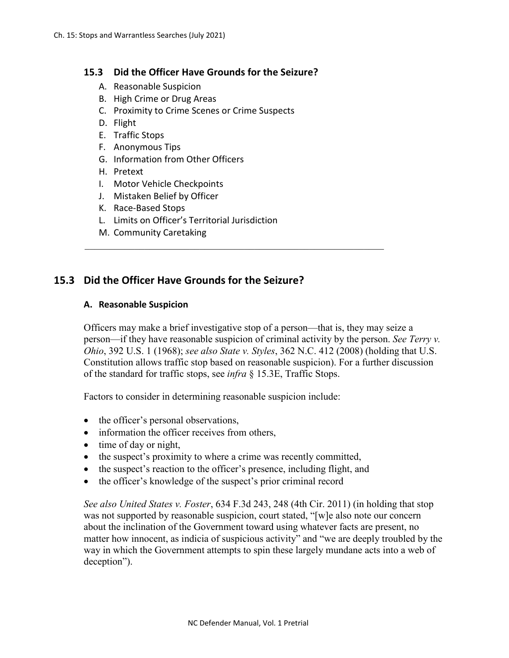### **15.3 Did the Officer Have Grounds for the Seizure?**

- A. Reasonable Suspicion
- B. High Crime or Drug Areas
- C. Proximity to Crime Scenes or Crime Suspects
- D. Flight
- E. Traffic Stops
- F. Anonymous Tips
- G. Information from Other Officers
- H. Pretext
- I. Motor Vehicle Checkpoints
- J. Mistaken Belief by Officer
- K. Race-Based Stops
- L. Limits on Officer's Territorial Jurisdiction
- M. Community Caretaking

# **15.3 Did the Officer Have Grounds for the Seizure?**

#### **A. Reasonable Suspicion**

Officers may make a brief investigative stop of a person—that is, they may seize a person—if they have reasonable suspicion of criminal activity by the person. *See Terry v. Ohio*, 392 U.S. 1 (1968); *see also State v. Styles*, 362 N.C. 412 (2008) (holding that U.S. Constitution allows traffic stop based on reasonable suspicion). For a further discussion of the standard for traffic stops, see *infra* § 15.3E, Traffic Stops.

\_\_\_\_\_\_\_\_\_\_\_\_\_\_\_\_\_\_\_\_\_\_\_\_\_\_\_\_\_\_\_\_\_\_\_\_\_\_\_\_\_\_\_\_\_\_\_\_\_\_\_\_\_\_\_\_\_\_\_\_

Factors to consider in determining reasonable suspicion include:

- the officer's personal observations,
- information the officer receives from others,
- time of day or night,
- the suspect's proximity to where a crime was recently committed,
- the suspect's reaction to the officer's presence, including flight, and
- the officer's knowledge of the suspect's prior criminal record

*See also United States v. Foster*, 634 F.3d 243, 248 (4th Cir. 2011) (in holding that stop was not supported by reasonable suspicion, court stated, "[w]e also note our concern about the inclination of the Government toward using whatever facts are present, no matter how innocent, as indicia of suspicious activity" and "we are deeply troubled by the way in which the Government attempts to spin these largely mundane acts into a web of deception").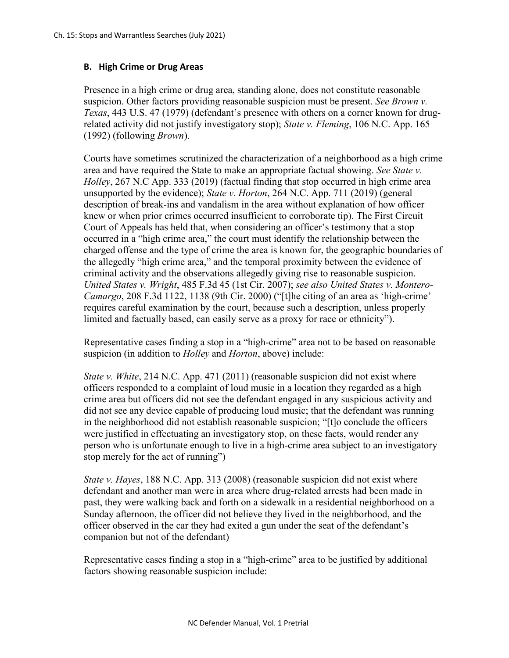### **B. High Crime or Drug Areas**

Presence in a high crime or drug area, standing alone, does not constitute reasonable suspicion. Other factors providing reasonable suspicion must be present. *See Brown v. Texas*, 443 U.S. 47 (1979) (defendant's presence with others on a corner known for drugrelated activity did not justify investigatory stop); *State v. Fleming*, 106 N.C. App. 165 (1992) (following *Brown*).

Courts have sometimes scrutinized the characterization of a neighborhood as a high crime area and have required the State to make an appropriate factual showing. *See State v. Holley*, 267 N.C App. 333 (2019) (factual finding that stop occurred in high crime area unsupported by the evidence); *State v. Horton*, 264 N.C. App. 711 (2019) (general description of break-ins and vandalism in the area without explanation of how officer knew or when prior crimes occurred insufficient to corroborate tip). The First Circuit Court of Appeals has held that, when considering an officer's testimony that a stop occurred in a "high crime area," the court must identify the relationship between the charged offense and the type of crime the area is known for, the geographic boundaries of the allegedly "high crime area," and the temporal proximity between the evidence of criminal activity and the observations allegedly giving rise to reasonable suspicion. *United States v. Wright*, 485 F.3d 45 (1st Cir. 2007); *see also United States v. Montero-Camargo*, 208 F.3d 1122, 1138 (9th Cir. 2000) ("[t]he citing of an area as 'high-crime' requires careful examination by the court, because such a description, unless properly limited and factually based, can easily serve as a proxy for race or ethnicity").

Representative cases finding a stop in a "high-crime" area not to be based on reasonable suspicion (in addition to *Holley* and *Horton*, above) include:

*State v. White*, 214 N.C. App. 471 (2011) (reasonable suspicion did not exist where officers responded to a complaint of loud music in a location they regarded as a high crime area but officers did not see the defendant engaged in any suspicious activity and did not see any device capable of producing loud music; that the defendant was running in the neighborhood did not establish reasonable suspicion; "[t]o conclude the officers were justified in effectuating an investigatory stop, on these facts, would render any person who is unfortunate enough to live in a high-crime area subject to an investigatory stop merely for the act of running")

*State v. Hayes*, 188 N.C. App. 313 (2008) (reasonable suspicion did not exist where defendant and another man were in area where drug-related arrests had been made in past, they were walking back and forth on a sidewalk in a residential neighborhood on a Sunday afternoon, the officer did not believe they lived in the neighborhood, and the officer observed in the car they had exited a gun under the seat of the defendant's companion but not of the defendant)

Representative cases finding a stop in a "high-crime" area to be justified by additional factors showing reasonable suspicion include: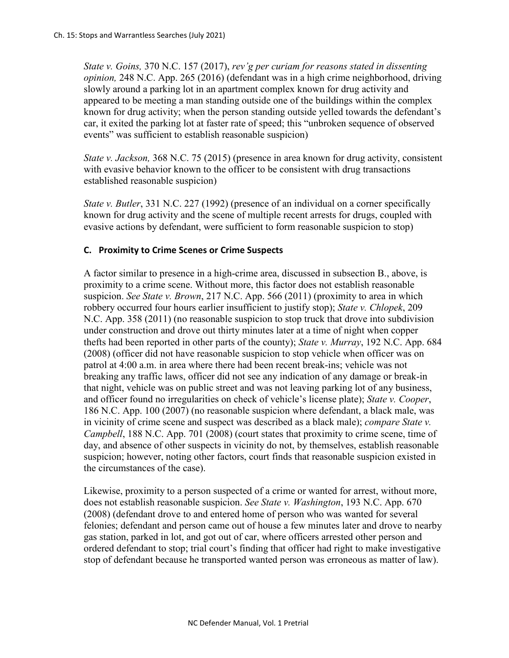*State v. Goins,* 370 N.C. 157 (2017), *rev'g per curiam for reasons stated in dissenting opinion,* 248 N.C. App. 265 (2016) (defendant was in a high crime neighborhood, driving slowly around a parking lot in an apartment complex known for drug activity and appeared to be meeting a man standing outside one of the buildings within the complex known for drug activity; when the person standing outside yelled towards the defendant's car, it exited the parking lot at faster rate of speed; this "unbroken sequence of observed events" was sufficient to establish reasonable suspicion)

*State v. Jackson,* 368 N.C. 75 (2015) (presence in area known for drug activity, consistent with evasive behavior known to the officer to be consistent with drug transactions established reasonable suspicion)

*State v. Butler*, 331 N.C. 227 (1992) (presence of an individual on a corner specifically known for drug activity and the scene of multiple recent arrests for drugs, coupled with evasive actions by defendant, were sufficient to form reasonable suspicion to stop)

# **C. Proximity to Crime Scenes or Crime Suspects**

A factor similar to presence in a high-crime area, discussed in subsection B., above, is proximity to a crime scene. Without more, this factor does not establish reasonable suspicion. *See State v. Brown*, 217 N.C. App. 566 (2011) (proximity to area in which robbery occurred four hours earlier insufficient to justify stop); *State v. Chlopek*, 209 N.C. App. 358 (2011) (no reasonable suspicion to stop truck that drove into subdivision under construction and drove out thirty minutes later at a time of night when copper thefts had been reported in other parts of the county); *State v. Murray*, 192 N.C. App. 684 (2008) (officer did not have reasonable suspicion to stop vehicle when officer was on patrol at 4:00 a.m. in area where there had been recent break-ins; vehicle was not breaking any traffic laws, officer did not see any indication of any damage or break-in that night, vehicle was on public street and was not leaving parking lot of any business, and officer found no irregularities on check of vehicle's license plate); *State v. Cooper*, 186 N.C. App. 100 (2007) (no reasonable suspicion where defendant, a black male, was in vicinity of crime scene and suspect was described as a black male); *compare State v. Campbell*, 188 N.C. App. 701 (2008) (court states that proximity to crime scene, time of day, and absence of other suspects in vicinity do not, by themselves, establish reasonable suspicion; however, noting other factors, court finds that reasonable suspicion existed in the circumstances of the case).

Likewise, proximity to a person suspected of a crime or wanted for arrest, without more, does not establish reasonable suspicion. *See State v. Washington*, 193 N.C. App. 670 (2008) (defendant drove to and entered home of person who was wanted for several felonies; defendant and person came out of house a few minutes later and drove to nearby gas station, parked in lot, and got out of car, where officers arrested other person and ordered defendant to stop; trial court's finding that officer had right to make investigative stop of defendant because he transported wanted person was erroneous as matter of law).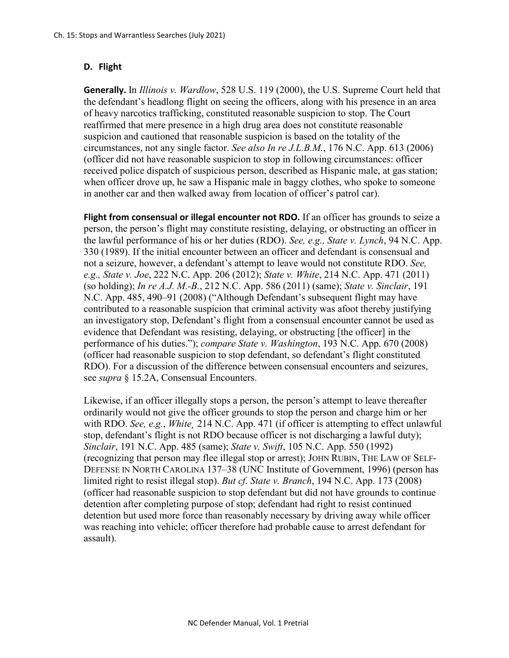# **D. Flight**

**Generally.** In *Illinois v. Wardlow*, 528 U.S. 119 (2000), the U.S. Supreme Court held that the defendant's headlong flight on seeing the officers, along with his presence in an area of heavy narcotics trafficking, constituted reasonable suspicion to stop. The Court reaffirmed that mere presence in a high drug area does not constitute reasonable suspicion and cautioned that reasonable suspicion is based on the totality of the circumstances, not any single factor. *See also In re J.L.B.M.*, 176 N.C. App. 613 (2006) (officer did not have reasonable suspicion to stop in following circumstances: officer received police dispatch of suspicious person, described as Hispanic male, at gas station; when officer drove up, he saw a Hispanic male in baggy clothes, who spoke to someone in another car and then walked away from location of officer's patrol car).

**Flight from consensual or illegal encounter not RDO.** If an officer has grounds to seize a person, the person's flight may constitute resisting, delaying, or obstructing an officer in the lawful performance of his or her duties (RDO). *See, e.g., State v. Lynch*, 94 N.C. App. 330 (1989). If the initial encounter between an officer and defendant is consensual and not a seizure, however, a defendant's attempt to leave would not constitute RDO. *See, e.g., State v. Joe*, 222 N.C. App. 206 (2012); *State v. White*, 214 N.C. App. 471 (2011) (so holding); *In re A.J. M.-B.*, 212 N.C. App. 586 (2011) (same); *State v. Sinclair*, 191 N.C. App. 485, 490–91 (2008) ("Although Defendant's subsequent flight may have contributed to a reasonable suspicion that criminal activity was afoot thereby justifying an investigatory stop, Defendant's flight from a consensual encounter cannot be used as evidence that Defendant was resisting, delaying, or obstructing [the officer] in the performance of his duties."); *compare State v. Washington*, 193 N.C. App. 670 (2008) (officer had reasonable suspicion to stop defendant, so defendant's flight constituted RDO). For a discussion of the difference between consensual encounters and seizures, see *supra* § 15.2A, Consensual Encounters.

Likewise, if an officer illegally stops a person, the person's attempt to leave thereafter ordinarily would not give the officer grounds to stop the person and charge him or her with RDO. *See, e.g.*, *White¸* 214 N.C. App. 471 (if officer is attempting to effect unlawful stop, defendant's flight is not RDO because officer is not discharging a lawful duty); *Sinclair*, 191 N.C. App. 485 (same); *State v. Swift*, 105 N.C. App. 550 (1992) (recognizing that person may flee illegal stop or arrest); JOHN RUBIN, THE LAW OF SELF-DEFENSE IN NORTH CAROLINA 137–38 (UNC Institute of Government, 1996) (person has limited right to resist illegal stop). *But cf. State v. Branch*, 194 N.C. App. 173 (2008) (officer had reasonable suspicion to stop defendant but did not have grounds to continue detention after completing purpose of stop; defendant had right to resist continued detention but used more force than reasonably necessary by driving away while officer was reaching into vehicle; officer therefore had probable cause to arrest defendant for assault).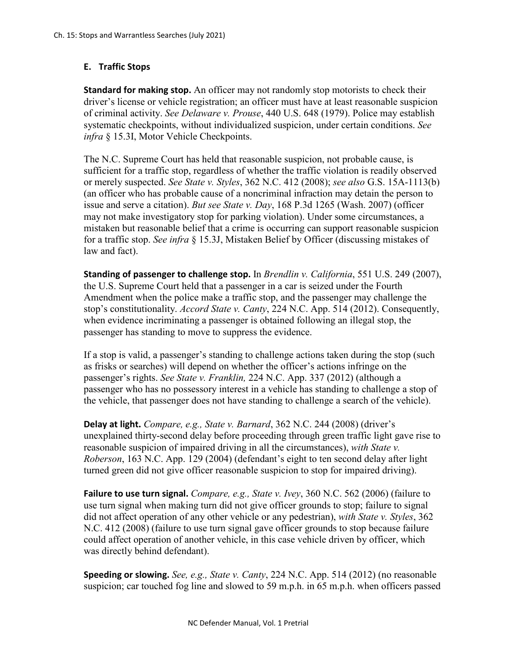# **E. Traffic Stops**

**Standard for making stop.** An officer may not randomly stop motorists to check their driver's license or vehicle registration; an officer must have at least reasonable suspicion of criminal activity. *See Delaware v. Prouse*, 440 U.S. 648 (1979). Police may establish systematic checkpoints, without individualized suspicion, under certain conditions. *See infra* § 15.3I, Motor Vehicle Checkpoints.

The N.C. Supreme Court has held that reasonable suspicion, not probable cause, is sufficient for a traffic stop, regardless of whether the traffic violation is readily observed or merely suspected. *See State v. Styles*, 362 N.C. 412 (2008); *see also* G.S. 15A-1113(b) (an officer who has probable cause of a noncriminal infraction may detain the person to issue and serve a citation). *But see State v. Day*, 168 P.3d 1265 (Wash. 2007) (officer may not make investigatory stop for parking violation). Under some circumstances, a mistaken but reasonable belief that a crime is occurring can support reasonable suspicion for a traffic stop. *See infra* § 15.3J, Mistaken Belief by Officer (discussing mistakes of law and fact).

**Standing of passenger to challenge stop.** In *Brendlin v. California*, 551 U.S. 249 (2007), the U.S. Supreme Court held that a passenger in a car is seized under the Fourth Amendment when the police make a traffic stop, and the passenger may challenge the stop's constitutionality. *Accord State v. Canty*, 224 N.C. App. 514 (2012). Consequently, when evidence incriminating a passenger is obtained following an illegal stop, the passenger has standing to move to suppress the evidence.

If a stop is valid, a passenger's standing to challenge actions taken during the stop (such as frisks or searches) will depend on whether the officer's actions infringe on the passenger's rights. *See State v. Franklin,* 224 N.C. App. 337 (2012) (although a passenger who has no possessory interest in a vehicle has standing to challenge a stop of the vehicle, that passenger does not have standing to challenge a search of the vehicle).

**Delay at light.** *Compare, e.g., State v. Barnard*, 362 N.C. 244 (2008) (driver's unexplained thirty-second delay before proceeding through green traffic light gave rise to reasonable suspicion of impaired driving in all the circumstances), *with State v. Roberson*, 163 N.C. App. 129 (2004) (defendant's eight to ten second delay after light turned green did not give officer reasonable suspicion to stop for impaired driving).

**Failure to use turn signal.** *Compare, e.g., State v. Ivey*, 360 N.C. 562 (2006) (failure to use turn signal when making turn did not give officer grounds to stop; failure to signal did not affect operation of any other vehicle or any pedestrian), *with State v. Styles*, 362 N.C. 412 (2008) (failure to use turn signal gave officer grounds to stop because failure could affect operation of another vehicle, in this case vehicle driven by officer, which was directly behind defendant).

**Speeding or slowing.** *See, e.g., State v. Canty*, 224 N.C. App. 514 (2012) (no reasonable suspicion; car touched fog line and slowed to 59 m.p.h. in 65 m.p.h. when officers passed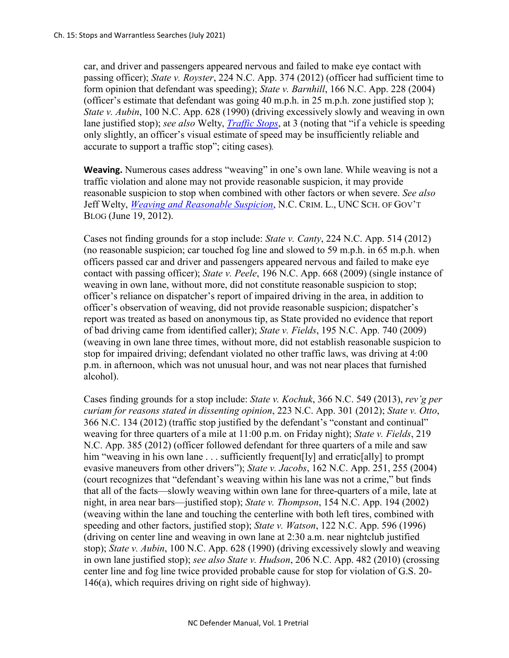car, and driver and passengers appeared nervous and failed to make eye contact with passing officer); *State v. Royster*, 224 N.C. App. 374 (2012) (officer had sufficient time to form opinion that defendant was speeding); *State v. Barnhill*, 166 N.C. App. 228 (2004) (officer's estimate that defendant was going 40 m.p.h. in 25 m.p.h. zone justified stop ); *State v. Aubin*, 100 N.C. App. 628 (1990) (driving excessively slowly and weaving in own lane justified stop); *see also* Welty, *[Traffic Stops](http://nccriminallaw.sog.unc.edu/wp-content/uploads/2013/03/2013-03-Traffic-Stops.pdf)*, at 3 (noting that "if a vehicle is speeding only slightly, an officer's visual estimate of speed may be insufficiently reliable and accurate to support a traffic stop"; citing cases)*.*

**Weaving.** Numerous cases address "weaving" in one's own lane. While weaving is not a traffic violation and alone may not provide reasonable suspicion, it may provide reasonable suspicion to stop when combined with other factors or when severe. *See also*  Jeff Welty, *[Weaving and Reasonable Suspicion](http://nccriminallaw.sog.unc.edu/?p=3677.)*, N.C. CRIM. L., UNC SCH. OF GOV'T BLOG (June 19, 2012).

Cases not finding grounds for a stop include: *State v. Canty*, 224 N.C. App. 514 (2012) (no reasonable suspicion; car touched fog line and slowed to 59 m.p.h. in 65 m.p.h. when officers passed car and driver and passengers appeared nervous and failed to make eye contact with passing officer); *State v. Peele*, 196 N.C. App. 668 (2009) (single instance of weaving in own lane, without more, did not constitute reasonable suspicion to stop; officer's reliance on dispatcher's report of impaired driving in the area, in addition to officer's observation of weaving, did not provide reasonable suspicion; dispatcher's report was treated as based on anonymous tip, as State provided no evidence that report of bad driving came from identified caller); *State v. Fields*, 195 N.C. App. 740 (2009) (weaving in own lane three times, without more, did not establish reasonable suspicion to stop for impaired driving; defendant violated no other traffic laws, was driving at 4:00 p.m. in afternoon, which was not unusual hour, and was not near places that furnished alcohol).

Cases finding grounds for a stop include: *State v. Kochuk*, 366 N.C. 549 (2013), *rev'g per curiam for reasons stated in dissenting opinion*, 223 N.C. App. 301 (2012); *State v. Otto*, 366 N.C. 134 (2012) (traffic stop justified by the defendant's "constant and continual" weaving for three quarters of a mile at 11:00 p.m. on Friday night); *State v. Fields*, 219 N.C. App. 385 (2012) (officer followed defendant for three quarters of a mile and saw him "weaving in his own lane . . . sufficiently frequent [ly] and erratic [ally] to prompt evasive maneuvers from other drivers"); *State v. Jacobs*, 162 N.C. App. 251, 255 (2004) (court recognizes that "defendant's weaving within his lane was not a crime," but finds that all of the facts—slowly weaving within own lane for three-quarters of a mile, late at night, in area near bars—justified stop); *State v. Thompson*, 154 N.C. App. 194 (2002) (weaving within the lane and touching the centerline with both left tires, combined with speeding and other factors, justified stop); *State v. Watson*, 122 N.C. App. 596 (1996) (driving on center line and weaving in own lane at 2:30 a.m. near nightclub justified stop); *State v. Aubin*, 100 N.C. App. 628 (1990) (driving excessively slowly and weaving in own lane justified stop); *see also State v. Hudson*, 206 N.C. App. 482 (2010) (crossing center line and fog line twice provided probable cause for stop for violation of G.S. 20- 146(a), which requires driving on right side of highway).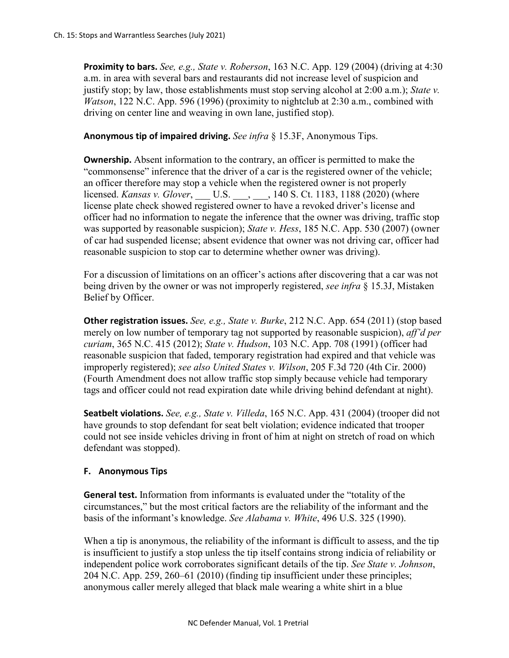**Proximity to bars.** *See, e.g., State v. Roberson*, 163 N.C. App. 129 (2004) (driving at 4:30 a.m. in area with several bars and restaurants did not increase level of suspicion and justify stop; by law, those establishments must stop serving alcohol at 2:00 a.m.); *State v. Watson*, 122 N.C. App. 596 (1996) (proximity to nightclub at 2:30 a.m., combined with driving on center line and weaving in own lane, justified stop).

### **Anonymous tip of impaired driving.** *See infra* § 15.3F, Anonymous Tips.

**Ownership.** Absent information to the contrary, an officer is permitted to make the "commonsense" inference that the driver of a car is the registered owner of the vehicle; an officer therefore may stop a vehicle when the registered owner is not properly licensed. *Kansas v. Glover*, \_\_\_ U.S. \_\_\_, \_\_\_, 140 S. Ct. 1183, 1188 (2020) (where license plate check showed registered owner to have a revoked driver's license and officer had no information to negate the inference that the owner was driving, traffic stop was supported by reasonable suspicion); *State v. Hess*, 185 N.C. App. 530 (2007) (owner of car had suspended license; absent evidence that owner was not driving car, officer had reasonable suspicion to stop car to determine whether owner was driving).

For a discussion of limitations on an officer's actions after discovering that a car was not being driven by the owner or was not improperly registered, *see infra* § 15.3J, Mistaken Belief by Officer.

**Other registration issues.** *See, e.g., State v. Burke*, 212 N.C. App. 654 (2011) (stop based merely on low number of temporary tag not supported by reasonable suspicion), *aff'd per curiam*, 365 N.C. 415 (2012); *State v. Hudson*, 103 N.C. App. 708 (1991) (officer had reasonable suspicion that faded, temporary registration had expired and that vehicle was improperly registered); *see also United States v. Wilson*, 205 F.3d 720 (4th Cir. 2000) (Fourth Amendment does not allow traffic stop simply because vehicle had temporary tags and officer could not read expiration date while driving behind defendant at night).

**Seatbelt violations.** *See, e.g., State v. Villeda*, 165 N.C. App. 431 (2004) (trooper did not have grounds to stop defendant for seat belt violation; evidence indicated that trooper could not see inside vehicles driving in front of him at night on stretch of road on which defendant was stopped).

### **F. Anonymous Tips**

**General test.** Information from informants is evaluated under the "totality of the circumstances," but the most critical factors are the reliability of the informant and the basis of the informant's knowledge. *See Alabama v. White*, 496 U.S. 325 (1990).

When a tip is anonymous, the reliability of the informant is difficult to assess, and the tip is insufficient to justify a stop unless the tip itself contains strong indicia of reliability or independent police work corroborates significant details of the tip. *See State v. Johnson*, 204 N.C. App. 259, 260–61 (2010) (finding tip insufficient under these principles; anonymous caller merely alleged that black male wearing a white shirt in a blue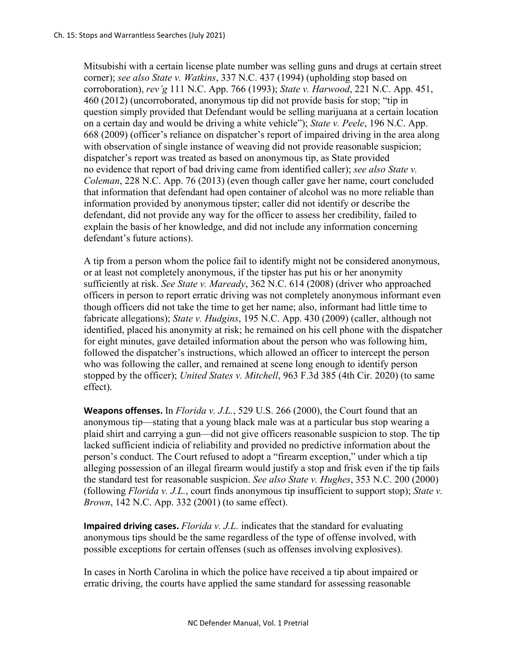Mitsubishi with a certain license plate number was selling guns and drugs at certain street corner); *see also State v. Watkins*, 337 N.C. 437 (1994) (upholding stop based on corroboration), *rev'g* 111 N.C. App. 766 (1993); *State v. Harwood*, 221 N.C. App. 451, 460 (2012) (uncorroborated, anonymous tip did not provide basis for stop; "tip in question simply provided that Defendant would be selling marijuana at a certain location on a certain day and would be driving a white vehicle"); *State v. Peele*, 196 N.C. App. 668 (2009) (officer's reliance on dispatcher's report of impaired driving in the area along with observation of single instance of weaving did not provide reasonable suspicion; dispatcher's report was treated as based on anonymous tip, as State provided no evidence that report of bad driving came from identified caller); *see also State v. Coleman*, 228 N.C. App. 76 (2013) (even though caller gave her name, court concluded that information that defendant had open container of alcohol was no more reliable than information provided by anonymous tipster; caller did not identify or describe the defendant, did not provide any way for the officer to assess her credibility, failed to explain the basis of her knowledge, and did not include any information concerning defendant's future actions).

A tip from a person whom the police fail to identify might not be considered anonymous, or at least not completely anonymous, if the tipster has put his or her anonymity sufficiently at risk. *See State v. Maready*, 362 N.C. 614 (2008) (driver who approached officers in person to report erratic driving was not completely anonymous informant even though officers did not take the time to get her name; also, informant had little time to fabricate allegations); *State v. Hudgins*, 195 N.C. App. 430 (2009) (caller, although not identified, placed his anonymity at risk; he remained on his cell phone with the dispatcher for eight minutes, gave detailed information about the person who was following him, followed the dispatcher's instructions, which allowed an officer to intercept the person who was following the caller, and remained at scene long enough to identify person stopped by the officer); *United States v. Mitchell*, 963 F.3d 385 (4th Cir. 2020) (to same effect).

**Weapons offenses.** In *Florida v. J.L.*, 529 U.S. 266 (2000), the Court found that an anonymous tip—stating that a young black male was at a particular bus stop wearing a plaid shirt and carrying a gun—did not give officers reasonable suspicion to stop. The tip lacked sufficient indicia of reliability and provided no predictive information about the person's conduct. The Court refused to adopt a "firearm exception," under which a tip alleging possession of an illegal firearm would justify a stop and frisk even if the tip fails the standard test for reasonable suspicion. *See also State v. Hughes*, 353 N.C. 200 (2000) (following *Florida v. J.L.*, court finds anonymous tip insufficient to support stop); *State v. Brown*, 142 N.C. App. 332 (2001) (to same effect).

**Impaired driving cases.** *Florida v. J.L.* indicates that the standard for evaluating anonymous tips should be the same regardless of the type of offense involved, with possible exceptions for certain offenses (such as offenses involving explosives).

In cases in North Carolina in which the police have received a tip about impaired or erratic driving, the courts have applied the same standard for assessing reasonable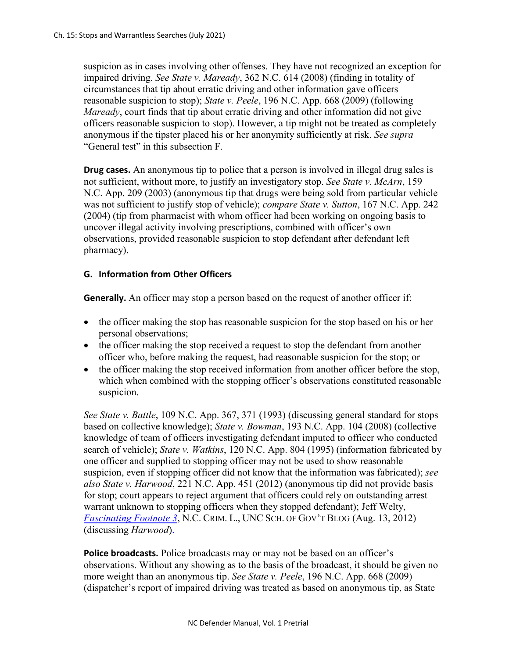suspicion as in cases involving other offenses. They have not recognized an exception for impaired driving. *See State v. Maready*, 362 N.C. 614 (2008) (finding in totality of circumstances that tip about erratic driving and other information gave officers reasonable suspicion to stop); *State v. Peele*, 196 N.C. App. 668 (2009) (following *Maready*, court finds that tip about erratic driving and other information did not give officers reasonable suspicion to stop). However, a tip might not be treated as completely anonymous if the tipster placed his or her anonymity sufficiently at risk. *See supra*  "General test" in this subsection F.

**Drug cases.** An anonymous tip to police that a person is involved in illegal drug sales is not sufficient, without more, to justify an investigatory stop. *See State v. McArn*, 159 N.C. App. 209 (2003) (anonymous tip that drugs were being sold from particular vehicle was not sufficient to justify stop of vehicle); *compare State v. Sutton*, 167 N.C. App. 242 (2004) (tip from pharmacist with whom officer had been working on ongoing basis to uncover illegal activity involving prescriptions, combined with officer's own observations, provided reasonable suspicion to stop defendant after defendant left pharmacy).

# **G. Information from Other Officers**

**Generally.** An officer may stop a person based on the request of another officer if:

- the officer making the stop has reasonable suspicion for the stop based on his or her personal observations;
- the officer making the stop received a request to stop the defendant from another officer who, before making the request, had reasonable suspicion for the stop; or
- the officer making the stop received information from another officer before the stop, which when combined with the stopping officer's observations constituted reasonable suspicion.

*See State v. Battle*, 109 N.C. App. 367, 371 (1993) (discussing general standard for stops based on collective knowledge); *State v. Bowman*, 193 N.C. App. 104 (2008) (collective knowledge of team of officers investigating defendant imputed to officer who conducted search of vehicle); *State v. Watkins*, 120 N.C. App. 804 (1995) (information fabricated by one officer and supplied to stopping officer may not be used to show reasonable suspicion, even if stopping officer did not know that the information was fabricated); *see also State v. Harwood*, 221 N.C. App. 451 (2012) (anonymous tip did not provide basis for stop; court appears to reject argument that officers could rely on outstanding arrest warrant unknown to stopping officers when they stopped defendant); Jeff Welty, *[Fascinating Footnote 3](http://nccriminallaw.sog.unc.edu/?p=3815)*, N.C. CRIM. L., UNC SCH. OF GOV'T BLOG (Aug. 13, 2012) (discussing *Harwood*).

**Police broadcasts.** Police broadcasts may or may not be based on an officer's observations. Without any showing as to the basis of the broadcast, it should be given no more weight than an anonymous tip. *See State v. Peele*, 196 N.C. App. 668 (2009) (dispatcher's report of impaired driving was treated as based on anonymous tip, as State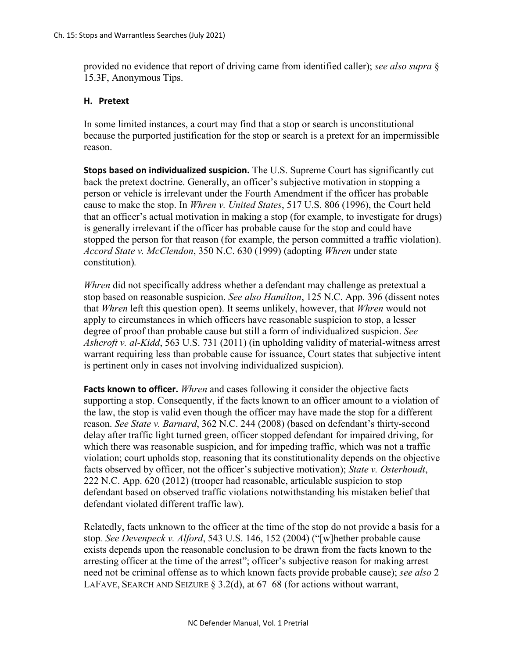provided no evidence that report of driving came from identified caller); *see also supra* § 15.3F, Anonymous Tips.

# **H. Pretext**

In some limited instances, a court may find that a stop or search is unconstitutional because the purported justification for the stop or search is a pretext for an impermissible reason.

**Stops based on individualized suspicion.** The U.S. Supreme Court has significantly cut back the pretext doctrine. Generally, an officer's subjective motivation in stopping a person or vehicle is irrelevant under the Fourth Amendment if the officer has probable cause to make the stop. In *Whren v. United States*, 517 U.S. 806 (1996), the Court held that an officer's actual motivation in making a stop (for example, to investigate for drugs) is generally irrelevant if the officer has probable cause for the stop and could have stopped the person for that reason (for example, the person committed a traffic violation). *Accord State v. McClendon*, 350 N.C. 630 (1999) (adopting *Whren* under state constitution)*.* 

*Whren* did not specifically address whether a defendant may challenge as pretextual a stop based on reasonable suspicion. *See also Hamilton*, 125 N.C. App. 396 (dissent notes that *Whren* left this question open). It seems unlikely, however, that *Whren* would not apply to circumstances in which officers have reasonable suspicion to stop, a lesser degree of proof than probable cause but still a form of individualized suspicion. *See Ashcroft v. al-Kidd*, 563 U.S. 731 (2011) (in upholding validity of material-witness arrest warrant requiring less than probable cause for issuance, Court states that subjective intent is pertinent only in cases not involving individualized suspicion).

**Facts known to officer.** *Whren* and cases following it consider the objective facts supporting a stop. Consequently, if the facts known to an officer amount to a violation of the law, the stop is valid even though the officer may have made the stop for a different reason. *See State v. Barnard*, 362 N.C. 244 (2008) (based on defendant's thirty-second delay after traffic light turned green, officer stopped defendant for impaired driving, for which there was reasonable suspicion, and for impeding traffic, which was not a traffic violation; court upholds stop, reasoning that its constitutionality depends on the objective facts observed by officer, not the officer's subjective motivation); *State v. Osterhoudt*, 222 N.C. App. 620 (2012) (trooper had reasonable, articulable suspicion to stop defendant based on observed traffic violations notwithstanding his mistaken belief that defendant violated different traffic law).

Relatedly, facts unknown to the officer at the time of the stop do not provide a basis for a stop*. See Devenpeck v. Alford*, 543 U.S. 146, 152 (2004) ("[w]hether probable cause exists depends upon the reasonable conclusion to be drawn from the facts known to the arresting officer at the time of the arrest"; officer's subjective reason for making arrest need not be criminal offense as to which known facts provide probable cause); *see also* 2 LAFAVE, SEARCH AND SEIZURE § 3.2(d), at  $67-68$  (for actions without warrant,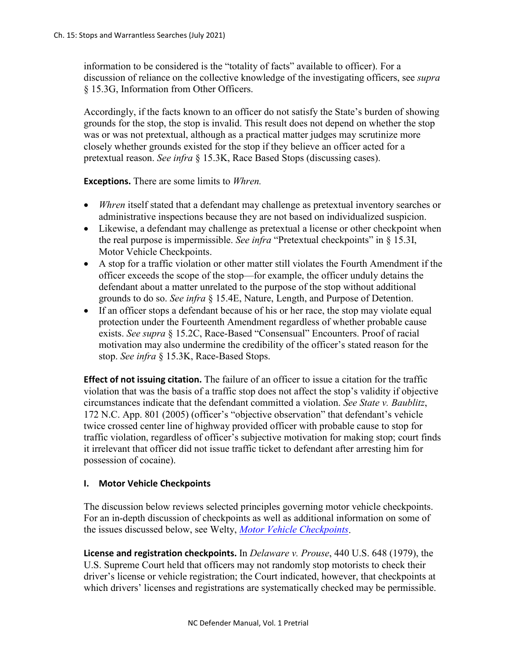information to be considered is the "totality of facts" available to officer). For a discussion of reliance on the collective knowledge of the investigating officers, see *supra* § 15.3G, Information from Other Officers.

Accordingly, if the facts known to an officer do not satisfy the State's burden of showing grounds for the stop, the stop is invalid. This result does not depend on whether the stop was or was not pretextual, although as a practical matter judges may scrutinize more closely whether grounds existed for the stop if they believe an officer acted for a pretextual reason. *See infra* § 15.3K, Race Based Stops (discussing cases).

**Exceptions.** There are some limits to *Whren.*

- *Whren* itself stated that a defendant may challenge as pretextual inventory searches or administrative inspections because they are not based on individualized suspicion.
- Likewise, a defendant may challenge as pretextual a license or other checkpoint when the real purpose is impermissible. *See infra* "Pretextual checkpoints" in § 15.3I, Motor Vehicle Checkpoints.
- A stop for a traffic violation or other matter still violates the Fourth Amendment if the officer exceeds the scope of the stop—for example, the officer unduly detains the defendant about a matter unrelated to the purpose of the stop without additional grounds to do so. *See infra* § 15.4E, Nature, Length, and Purpose of Detention.
- If an officer stops a defendant because of his or her race, the stop may violate equal protection under the Fourteenth Amendment regardless of whether probable cause exists. *See supra* § 15.2C, Race-Based "Consensual" Encounters. Proof of racial motivation may also undermine the credibility of the officer's stated reason for the stop. *See infra* § 15.3K, Race-Based Stops.

**Effect of not issuing citation.** The failure of an officer to issue a citation for the traffic violation that was the basis of a traffic stop does not affect the stop's validity if objective circumstances indicate that the defendant committed a violation. *See State v. Baublitz*, 172 N.C. App. 801 (2005) (officer's "objective observation" that defendant's vehicle twice crossed center line of highway provided officer with probable cause to stop for traffic violation, regardless of officer's subjective motivation for making stop; court finds it irrelevant that officer did not issue traffic ticket to defendant after arresting him for possession of cocaine).

# **I. Motor Vehicle Checkpoints**

The discussion below reviews selected principles governing motor vehicle checkpoints. For an in-depth discussion of checkpoints as well as additional information on some of the issues discussed below, see Welty, *[Motor Vehicle Checkpoints](https://www.sog.unc.edu/publications/bulletins/motor-vehicle-checkpoints)*.

**License and registration checkpoints.** In *Delaware v. Prouse*, 440 U.S. 648 (1979), the U.S. Supreme Court held that officers may not randomly stop motorists to check their driver's license or vehicle registration; the Court indicated, however, that checkpoints at which drivers' licenses and registrations are systematically checked may be permissible.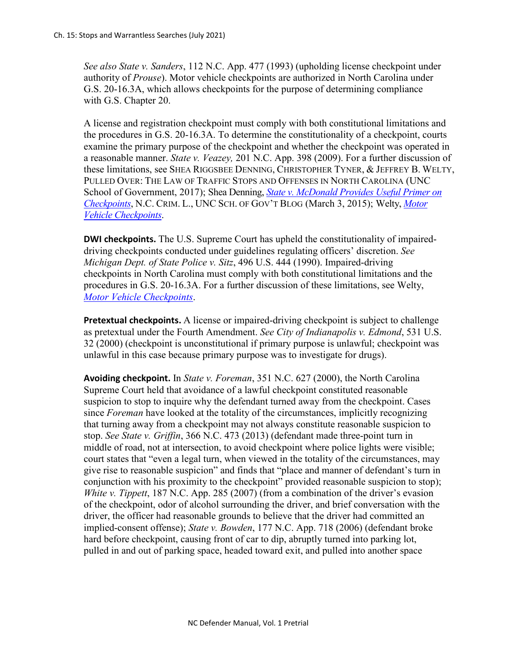*See also State v. Sanders*, 112 N.C. App. 477 (1993) (upholding license checkpoint under authority of *Prouse*). Motor vehicle checkpoints are authorized in North Carolina under G.S. 20-16.3A, which allows checkpoints for the purpose of determining compliance with G.S. Chapter 20.

A license and registration checkpoint must comply with both constitutional limitations and the procedures in G.S. 20-16.3A. To determine the constitutionality of a checkpoint, courts examine the primary purpose of the checkpoint and whether the checkpoint was operated in a reasonable manner. *State v. Veazey,* 201 N.C. App. 398 (2009). For a further discussion of these limitations, see SHEA RIGGSBEE DENNING, CHRISTOPHER TYNER, & JEFFREY B. WELTY, PULLED OVER: THE LAW OF TRAFFIC STOPS AND OFFENSES IN NORTH CAROLINA (UNC School of Government, 2017); Shea Denning, *[State v. McDonald Provides Useful](https://nccriminallaw.sog.unc.edu/state-v-mcdonald-provides-useful-primer-on-checkpoints/) Primer on [Checkpoints](https://nccriminallaw.sog.unc.edu/state-v-mcdonald-provides-useful-primer-on-checkpoints/)*, N.C. CRIM. L., UNC SCH. OF GOV'T BLOG (March 3, 2015); Welty, *[Motor](https://www.sog.unc.edu/publications/bulletins/motor-vehicle-checkpoints)  [Vehicle Checkpoints](https://www.sog.unc.edu/publications/bulletins/motor-vehicle-checkpoints)*.

**DWI checkpoints.** The U.S. Supreme Court has upheld the constitutionality of impaireddriving checkpoints conducted under guidelines regulating officers' discretion. *See Michigan Dept. of State Police v. Sitz*, 496 U.S. 444 (1990). Impaired-driving checkpoints in North Carolina must comply with both constitutional limitations and the procedures in G.S. 20-16.3A. For a further discussion of these limitations, see Welty, *[Motor Vehicle Checkpoints](https://www.sog.unc.edu/publications/bulletins/motor-vehicle-checkpoints)*.

**Pretextual checkpoints.** A license or impaired-driving checkpoint is subject to challenge as pretextual under the Fourth Amendment. *See City of Indianapolis v. Edmond*, 531 U.S. 32 (2000) (checkpoint is unconstitutional if primary purpose is unlawful; checkpoint was unlawful in this case because primary purpose was to investigate for drugs).

**Avoiding checkpoint.** In *State v. Foreman*, 351 N.C. 627 (2000), the North Carolina Supreme Court held that avoidance of a lawful checkpoint constituted reasonable suspicion to stop to inquire why the defendant turned away from the checkpoint. Cases since *Foreman* have looked at the totality of the circumstances, implicitly recognizing that turning away from a checkpoint may not always constitute reasonable suspicion to stop. *See State v. Griffin*, 366 N.C. 473 (2013) (defendant made three-point turn in middle of road, not at intersection, to avoid checkpoint where police lights were visible; court states that "even a legal turn, when viewed in the totality of the circumstances, may give rise to reasonable suspicion" and finds that "place and manner of defendant's turn in conjunction with his proximity to the checkpoint" provided reasonable suspicion to stop); *White v. Tippett*, 187 N.C. App. 285 (2007) (from a combination of the driver's evasion of the checkpoint, odor of alcohol surrounding the driver, and brief conversation with the driver, the officer had reasonable grounds to believe that the driver had committed an implied-consent offense); *State v. Bowden*, 177 N.C. App. 718 (2006) (defendant broke hard before checkpoint, causing front of car to dip, abruptly turned into parking lot, pulled in and out of parking space, headed toward exit, and pulled into another space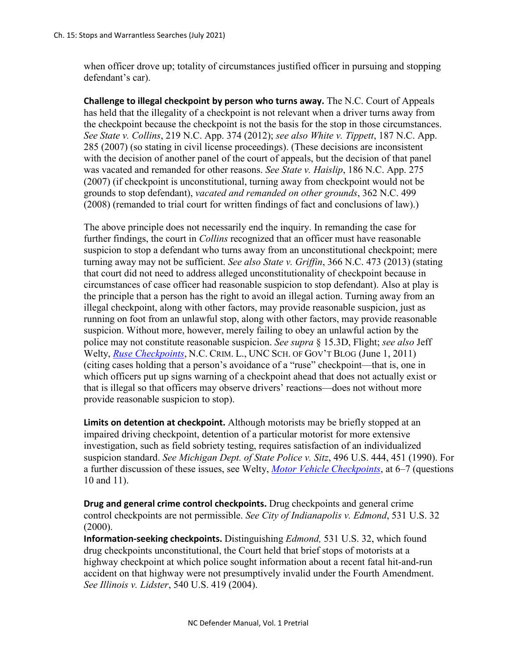when officer drove up; totality of circumstances justified officer in pursuing and stopping defendant's car).

**Challenge to illegal checkpoint by person who turns away.** The N.C. Court of Appeals has held that the illegality of a checkpoint is not relevant when a driver turns away from the checkpoint because the checkpoint is not the basis for the stop in those circumstances. *See State v. Collins*, 219 N.C. App. 374 (2012); *see also White v. Tippett*, 187 N.C. App. 285 (2007) (so stating in civil license proceedings). (These decisions are inconsistent with the decision of another panel of the court of appeals, but the decision of that panel was vacated and remanded for other reasons. *See State v. Haislip*, 186 N.C. App. 275 (2007) (if checkpoint is unconstitutional, turning away from checkpoint would not be grounds to stop defendant), *vacated and remanded on other grounds*, 362 N.C. 499 (2008) (remanded to trial court for written findings of fact and conclusions of law).)

The above principle does not necessarily end the inquiry. In remanding the case for further findings, the court in *Collins* recognized that an officer must have reasonable suspicion to stop a defendant who turns away from an unconstitutional checkpoint; mere turning away may not be sufficient. *See also State v. Griffin*, 366 N.C. 473 (2013) (stating that court did not need to address alleged unconstitutionality of checkpoint because in circumstances of case officer had reasonable suspicion to stop defendant). Also at play is the principle that a person has the right to avoid an illegal action. Turning away from an illegal checkpoint, along with other factors, may provide reasonable suspicion, just as running on foot from an unlawful stop, along with other factors, may provide reasonable suspicion. Without more, however, merely failing to obey an unlawful action by the police may not constitute reasonable suspicion. *See supra* § 15.3D, Flight; *see also* Jeff Welty, *[Ruse Checkpoints](http://nccriminallaw.sog.unc.edu/?p=2516)*, N.C. CRIM. L., UNC SCH. OF GOV'T BLOG (June 1, 2011) (citing cases holding that a person's avoidance of a "ruse" checkpoint—that is, one in which officers put up signs warning of a checkpoint ahead that does not actually exist or that is illegal so that officers may observe drivers' reactions—does not without more provide reasonable suspicion to stop).

**Limits on detention at checkpoint.** Although motorists may be briefly stopped at an impaired driving checkpoint, detention of a particular motorist for more extensive investigation, such as field sobriety testing, requires satisfaction of an individualized suspicion standard. *See Michigan Dept. of State Police v. Sitz*, 496 U.S. 444, 451 (1990). For a further discussion of these issues, see Welty, *[Motor Vehicle Checkpoints](https://www.sog.unc.edu/publications/bulletins/motor-vehicle-checkpoints)*, at 6–7 (questions 10 and 11).

**Drug and general crime control checkpoints.** Drug checkpoints and general crime control checkpoints are not permissible. *See City of Indianapolis v. Edmond*, 531 U.S. 32 (2000).

**Information-seeking checkpoints.** Distinguishing *Edmond,* 531 U.S. 32, which found drug checkpoints unconstitutional, the Court held that brief stops of motorists at a highway checkpoint at which police sought information about a recent fatal hit-and-run accident on that highway were not presumptively invalid under the Fourth Amendment. *See Illinois v. Lidster*, 540 U.S. 419 (2004).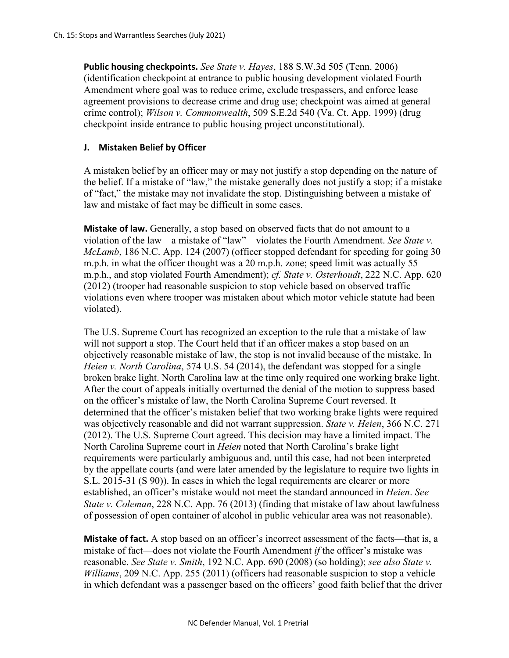**Public housing checkpoints.** *See State v. Hayes*, 188 S.W.3d 505 (Tenn. 2006) (identification checkpoint at entrance to public housing development violated Fourth Amendment where goal was to reduce crime, exclude trespassers, and enforce lease agreement provisions to decrease crime and drug use; checkpoint was aimed at general crime control); *Wilson v. Commonwealth*, 509 S.E.2d 540 (Va. Ct. App. 1999) (drug checkpoint inside entrance to public housing project unconstitutional).

# **J. Mistaken Belief by Officer**

A mistaken belief by an officer may or may not justify a stop depending on the nature of the belief. If a mistake of "law," the mistake generally does not justify a stop; if a mistake of "fact," the mistake may not invalidate the stop. Distinguishing between a mistake of law and mistake of fact may be difficult in some cases.

**Mistake of law.** Generally, a stop based on observed facts that do not amount to a violation of the law—a mistake of "law"—violates the Fourth Amendment. *See State v. McLamb*, 186 N.C. App. 124 (2007) (officer stopped defendant for speeding for going 30 m.p.h. in what the officer thought was a 20 m.p.h. zone; speed limit was actually 55 m.p.h., and stop violated Fourth Amendment); *cf. State v. Osterhoudt*, 222 N.C. App. 620 (2012) (trooper had reasonable suspicion to stop vehicle based on observed traffic violations even where trooper was mistaken about which motor vehicle statute had been violated).

The U.S. Supreme Court has recognized an exception to the rule that a mistake of law will not support a stop. The Court held that if an officer makes a stop based on an objectively reasonable mistake of law, the stop is not invalid because of the mistake. In *Heien v. North Carolina*, 574 U.S. 54 (2014), the defendant was stopped for a single broken brake light. North Carolina law at the time only required one working brake light. After the court of appeals initially overturned the denial of the motion to suppress based on the officer's mistake of law, the North Carolina Supreme Court reversed. It determined that the officer's mistaken belief that two working brake lights were required was objectively reasonable and did not warrant suppression. *State v. Heien*, 366 N.C. 271 (2012). The U.S. Supreme Court agreed. This decision may have a limited impact. The North Carolina Supreme court in *Heien* noted that North Carolina's brake light requirements were particularly ambiguous and, until this case, had not been interpreted by the appellate courts (and were later amended by the legislature to require two lights in S.L. 2015-31 (S 90)). In cases in which the legal requirements are clearer or more established, an officer's mistake would not meet the standard announced in *Heien*. *See State v. Coleman*, 228 N.C. App. 76 (2013) (finding that mistake of law about lawfulness of possession of open container of alcohol in public vehicular area was not reasonable).

**Mistake of fact.** A stop based on an officer's incorrect assessment of the facts—that is, a mistake of fact—does not violate the Fourth Amendment *if* the officer's mistake was reasonable. *See State v. Smith*, 192 N.C. App. 690 (2008) (so holding); *see also State v. Williams*, 209 N.C. App. 255 (2011) (officers had reasonable suspicion to stop a vehicle in which defendant was a passenger based on the officers' good faith belief that the driver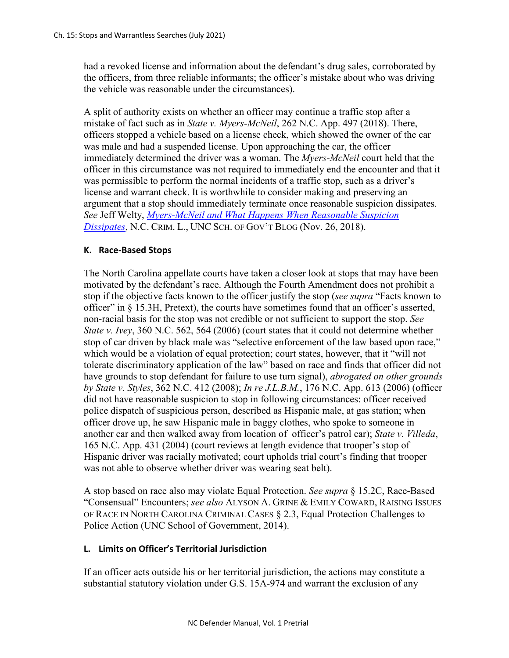had a revoked license and information about the defendant's drug sales, corroborated by the officers, from three reliable informants; the officer's mistake about who was driving the vehicle was reasonable under the circumstances).

A split of authority exists on whether an officer may continue a traffic stop after a mistake of fact such as in *State v. Myers-McNeil*, 262 N.C. App. 497 (2018). There, officers stopped a vehicle based on a license check, which showed the owner of the car was male and had a suspended license. Upon approaching the car, the officer immediately determined the driver was a woman. The *Myers-McNeil* court held that the officer in this circumstance was not required to immediately end the encounter and that it was permissible to perform the normal incidents of a traffic stop, such as a driver's license and warrant check. It is worthwhile to consider making and preserving an argument that a stop should immediately terminate once reasonable suspicion dissipates. *See* Jeff Welty, *[Myers-McNeil and What Happens When Reasonable Suspicion](https://nccriminallaw.sog.unc.edu/myers-mcneill-and-what-happens-when-reasonable-suspicion-dissipates/)  [Dissipates](https://nccriminallaw.sog.unc.edu/myers-mcneill-and-what-happens-when-reasonable-suspicion-dissipates/)*, N.C. CRIM. L., UNC SCH. OF GOV'T BLOG (Nov. 26, 2018).

# **K. Race-Based Stops**

The North Carolina appellate courts have taken a closer look at stops that may have been motivated by the defendant's race. Although the Fourth Amendment does not prohibit a stop if the objective facts known to the officer justify the stop (*see supra* "Facts known to officer" in § 15.3H, Pretext), the courts have sometimes found that an officer's asserted, non-racial basis for the stop was not credible or not sufficient to support the stop. *See State v. Ivey*, 360 N.C. 562, 564 (2006) (court states that it could not determine whether stop of car driven by black male was "selective enforcement of the law based upon race," which would be a violation of equal protection; court states, however, that it "will not tolerate discriminatory application of the law" based on race and finds that officer did not have grounds to stop defendant for failure to use turn signal), *abrogated on other grounds by State v. Styles*, 362 N.C. 412 (2008); *In re J.L.B.M.*, 176 N.C. App. 613 (2006) (officer did not have reasonable suspicion to stop in following circumstances: officer received police dispatch of suspicious person, described as Hispanic male, at gas station; when officer drove up, he saw Hispanic male in baggy clothes, who spoke to someone in another car and then walked away from location of officer's patrol car); *State v. Villeda*, 165 N.C. App. 431 (2004) (court reviews at length evidence that trooper's stop of Hispanic driver was racially motivated; court upholds trial court's finding that trooper was not able to observe whether driver was wearing seat belt).

A stop based on race also may violate Equal Protection. *See supra* § 15.2C, Race-Based "Consensual" Encounters; *see also* ALYSON A. GRINE & EMILY COWARD, RAISING ISSUES OF RACE IN NORTH CAROLINA CRIMINAL CASES § 2.3, Equal Protection Challenges to Police Action (UNC School of Government, 2014).

# **L. Limits on Officer's Territorial Jurisdiction**

If an officer acts outside his or her territorial jurisdiction, the actions may constitute a substantial statutory violation under G.S. 15A-974 and warrant the exclusion of any